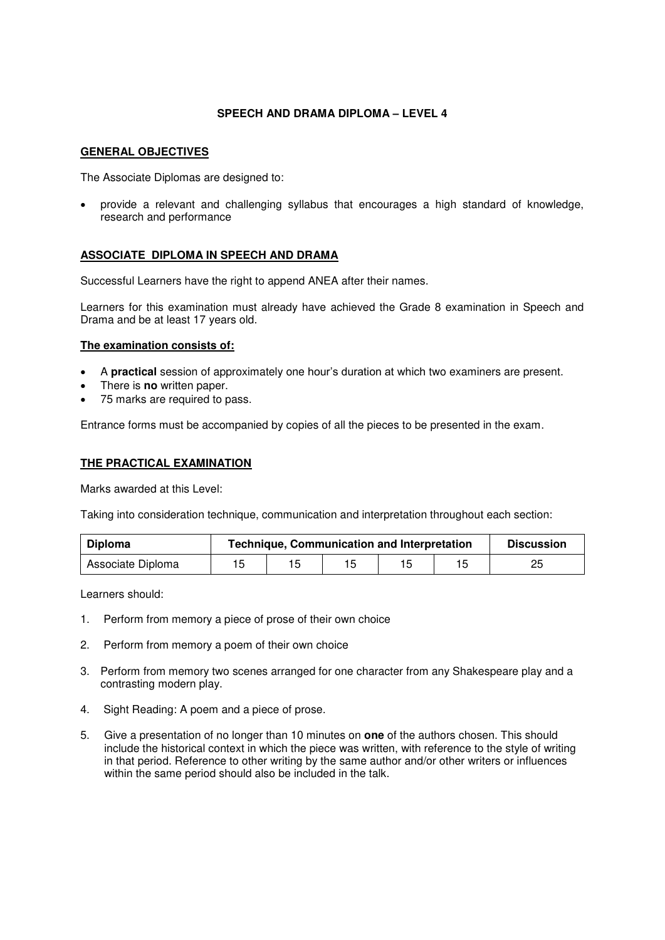## **SPEECH AND DRAMA DIPLOMA – LEVEL 4**

#### **GENERAL OBJECTIVES**

The Associate Diplomas are designed to:

 provide a relevant and challenging syllabus that encourages a high standard of knowledge, research and performance

### **ASSOCIATE DIPLOMA IN SPEECH AND DRAMA**

Successful Learners have the right to append ANEA after their names.

Learners for this examination must already have achieved the Grade 8 examination in Speech and Drama and be at least 17 years old.

#### **The examination consists of:**

- A **practical** session of approximately one hour's duration at which two examiners are present.
- There is **no** written paper.
- 75 marks are required to pass.

Entrance forms must be accompanied by copies of all the pieces to be presented in the exam.

#### **THE PRACTICAL EXAMINATION**

Marks awarded at this Level:

Taking into consideration technique, communication and interpretation throughout each section:

| <b>Diploma</b>    | <b>Technique, Communication and Interpretation</b> |  |  |    |  | <b>Discussion</b> |
|-------------------|----------------------------------------------------|--|--|----|--|-------------------|
| Associate Diploma |                                                    |  |  | 15 |  | つに                |

Learners should:

- 1. Perform from memory a piece of prose of their own choice
- 2. Perform from memory a poem of their own choice
- 3. Perform from memory two scenes arranged for one character from any Shakespeare play and a contrasting modern play.
- 4. Sight Reading: A poem and a piece of prose.
- 5. Give a presentation of no longer than 10 minutes on **one** of the authors chosen. This should include the historical context in which the piece was written, with reference to the style of writing in that period. Reference to other writing by the same author and/or other writers or influences within the same period should also be included in the talk.